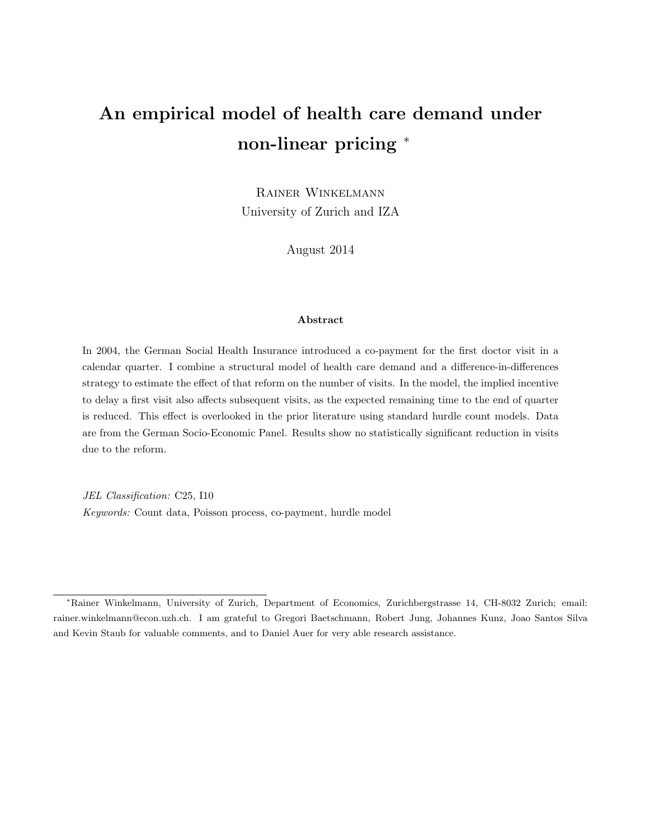# An empirical model of health care demand under non-linear pricing  $*$

Rainer Winkelmann University of Zurich and IZA

August 2014

#### Abstract

In 2004, the German Social Health Insurance introduced a co-payment for the first doctor visit in a calendar quarter. I combine a structural model of health care demand and a difference-in-differences strategy to estimate the effect of that reform on the number of visits. In the model, the implied incentive to delay a first visit also affects subsequent visits, as the expected remaining time to the end of quarter is reduced. This effect is overlooked in the prior literature using standard hurdle count models. Data are from the German Socio-Economic Panel. Results show no statistically significant reduction in visits due to the reform.

JEL Classification: C25, I10 Keywords: Count data, Poisson process, co-payment, hurdle model

<sup>∗</sup>Rainer Winkelmann, University of Zurich, Department of Economics, Zurichbergstrasse 14, CH-8032 Zurich; email: rainer.winkelmann@econ.uzh.ch. I am grateful to Gregori Baetschmann, Robert Jung, Johannes Kunz, Joao Santos Silva and Kevin Staub for valuable comments, and to Daniel Auer for very able research assistance.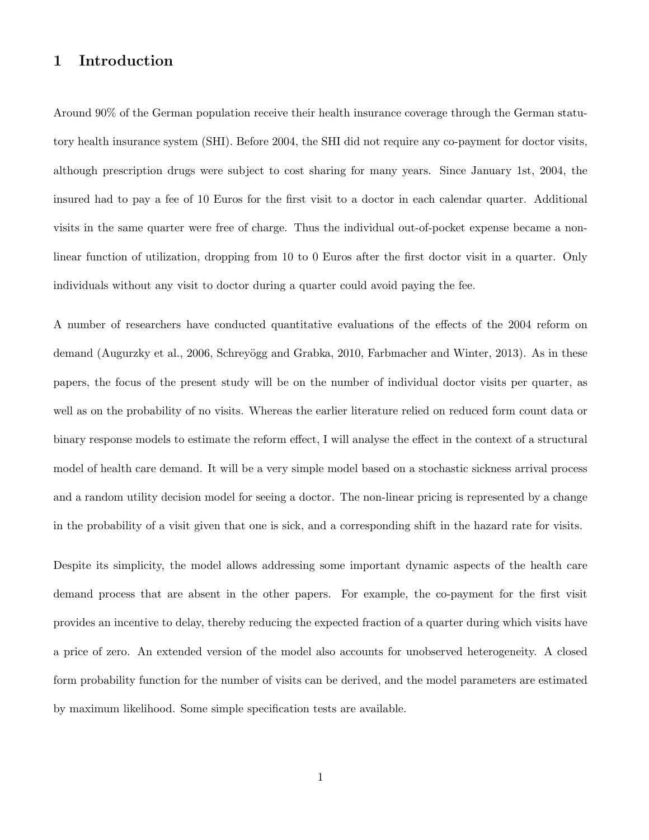# 1 Introduction

Around 90% of the German population receive their health insurance coverage through the German statutory health insurance system (SHI). Before 2004, the SHI did not require any co-payment for doctor visits, although prescription drugs were subject to cost sharing for many years. Since January 1st, 2004, the insured had to pay a fee of 10 Euros for the first visit to a doctor in each calendar quarter. Additional visits in the same quarter were free of charge. Thus the individual out-of-pocket expense became a nonlinear function of utilization, dropping from 10 to 0 Euros after the first doctor visit in a quarter. Only individuals without any visit to doctor during a quarter could avoid paying the fee.

A number of researchers have conducted quantitative evaluations of the effects of the 2004 reform on demand (Augurzky et al., 2006, Schreyögg and Grabka, 2010, Farbmacher and Winter, 2013). As in these papers, the focus of the present study will be on the number of individual doctor visits per quarter, as well as on the probability of no visits. Whereas the earlier literature relied on reduced form count data or binary response models to estimate the reform effect, I will analyse the effect in the context of a structural model of health care demand. It will be a very simple model based on a stochastic sickness arrival process and a random utility decision model for seeing a doctor. The non-linear pricing is represented by a change in the probability of a visit given that one is sick, and a corresponding shift in the hazard rate for visits.

Despite its simplicity, the model allows addressing some important dynamic aspects of the health care demand process that are absent in the other papers. For example, the co-payment for the first visit provides an incentive to delay, thereby reducing the expected fraction of a quarter during which visits have a price of zero. An extended version of the model also accounts for unobserved heterogeneity. A closed form probability function for the number of visits can be derived, and the model parameters are estimated by maximum likelihood. Some simple specification tests are available.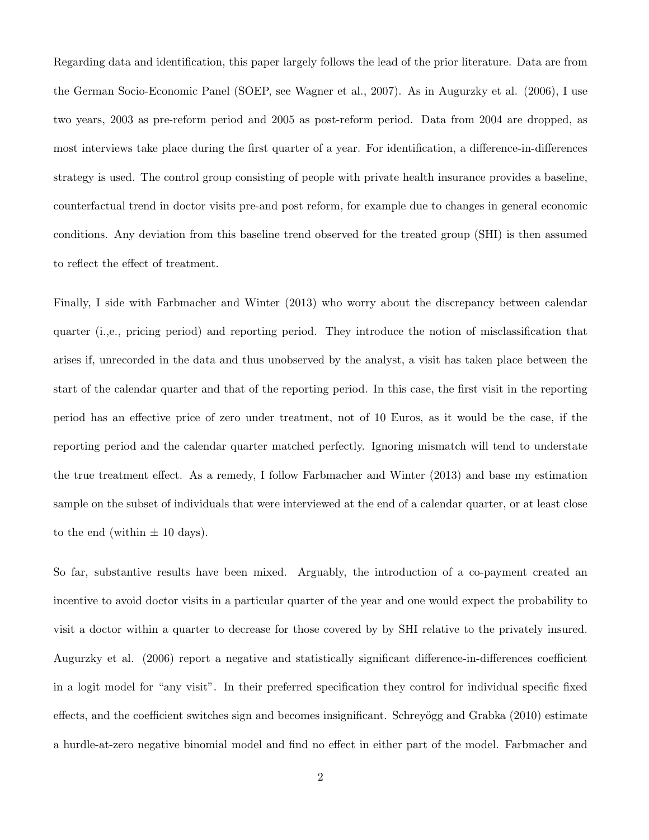Regarding data and identification, this paper largely follows the lead of the prior literature. Data are from the German Socio-Economic Panel (SOEP, see Wagner et al., 2007). As in Augurzky et al. (2006), I use two years, 2003 as pre-reform period and 2005 as post-reform period. Data from 2004 are dropped, as most interviews take place during the first quarter of a year. For identification, a difference-in-differences strategy is used. The control group consisting of people with private health insurance provides a baseline, counterfactual trend in doctor visits pre-and post reform, for example due to changes in general economic conditions. Any deviation from this baseline trend observed for the treated group (SHI) is then assumed to reflect the effect of treatment.

Finally, I side with Farbmacher and Winter (2013) who worry about the discrepancy between calendar quarter (i.,e., pricing period) and reporting period. They introduce the notion of misclassification that arises if, unrecorded in the data and thus unobserved by the analyst, a visit has taken place between the start of the calendar quarter and that of the reporting period. In this case, the first visit in the reporting period has an effective price of zero under treatment, not of 10 Euros, as it would be the case, if the reporting period and the calendar quarter matched perfectly. Ignoring mismatch will tend to understate the true treatment effect. As a remedy, I follow Farbmacher and Winter (2013) and base my estimation sample on the subset of individuals that were interviewed at the end of a calendar quarter, or at least close to the end (within  $\pm$  10 days).

So far, substantive results have been mixed. Arguably, the introduction of a co-payment created an incentive to avoid doctor visits in a particular quarter of the year and one would expect the probability to visit a doctor within a quarter to decrease for those covered by by SHI relative to the privately insured. Augurzky et al. (2006) report a negative and statistically significant difference-in-differences coefficient in a logit model for "any visit". In their preferred specification they control for individual specific fixed effects, and the coefficient switches sign and becomes insignificant. Schreyögg and Grabka (2010) estimate a hurdle-at-zero negative binomial model and find no effect in either part of the model. Farbmacher and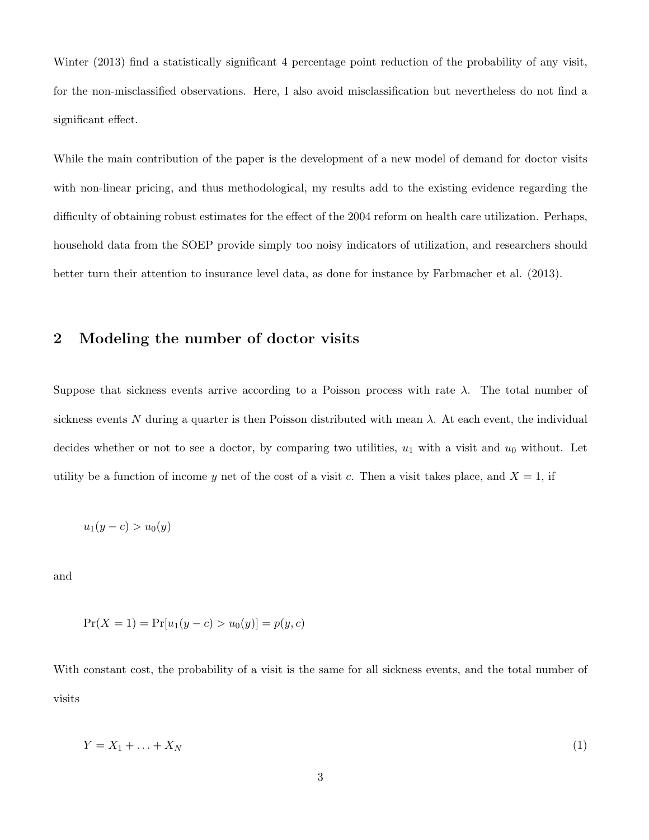Winter (2013) find a statistically significant 4 percentage point reduction of the probability of any visit, for the non-misclassified observations. Here, I also avoid misclassification but nevertheless do not find a significant effect.

While the main contribution of the paper is the development of a new model of demand for doctor visits with non-linear pricing, and thus methodological, my results add to the existing evidence regarding the difficulty of obtaining robust estimates for the effect of the 2004 reform on health care utilization. Perhaps, household data from the SOEP provide simply too noisy indicators of utilization, and researchers should better turn their attention to insurance level data, as done for instance by Farbmacher et al. (2013).

## 2 Modeling the number of doctor visits

Suppose that sickness events arrive according to a Poisson process with rate  $\lambda$ . The total number of sickness events N during a quarter is then Poisson distributed with mean  $\lambda$ . At each event, the individual decides whether or not to see a doctor, by comparing two utilities,  $u_1$  with a visit and  $u_0$  without. Let utility be a function of income y net of the cost of a visit c. Then a visit takes place, and  $X = 1$ , if

$$
u_1(y-c) > u_0(y)
$$

and

$$
Pr(X = 1) = Pr[u_1(y - c) > u_0(y)] = p(y, c)
$$

With constant cost, the probability of a visit is the same for all sickness events, and the total number of visits

$$
Y = X_1 + \ldots + X_N \tag{1}
$$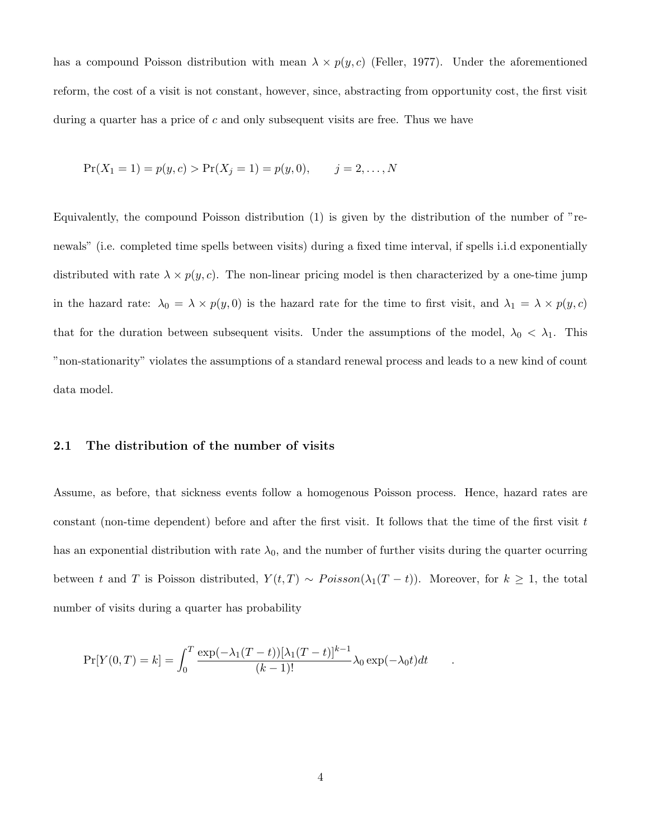has a compound Poisson distribution with mean  $\lambda \times p(y, c)$  (Feller, 1977). Under the aforementioned reform, the cost of a visit is not constant, however, since, abstracting from opportunity cost, the first visit during a quarter has a price of  $c$  and only subsequent visits are free. Thus we have

$$
Pr(X_1 = 1) = p(y, c) > Pr(X_j = 1) = p(y, 0), \qquad j = 2, ..., N
$$

Equivalently, the compound Poisson distribution (1) is given by the distribution of the number of "renewals" (i.e. completed time spells between visits) during a fixed time interval, if spells i.i.d exponentially distributed with rate  $\lambda \times p(y, c)$ . The non-linear pricing model is then characterized by a one-time jump in the hazard rate:  $\lambda_0 = \lambda \times p(y, 0)$  is the hazard rate for the time to first visit, and  $\lambda_1 = \lambda \times p(y, c)$ that for the duration between subsequent visits. Under the assumptions of the model,  $\lambda_0 < \lambda_1$ . This "non-stationarity" violates the assumptions of a standard renewal process and leads to a new kind of count data model.

#### 2.1 The distribution of the number of visits

Assume, as before, that sickness events follow a homogenous Poisson process. Hence, hazard rates are constant (non-time dependent) before and after the first visit. It follows that the time of the first visit  $t$ has an exponential distribution with rate  $\lambda_0$ , and the number of further visits during the quarter ocurring between t and T is Poisson distributed,  $Y(t,T) \sim Poisson(\lambda_1(T-t))$ . Moreover, for  $k \geq 1$ , the total number of visits during a quarter has probability

$$
\Pr[Y(0,T) = k] = \int_0^T \frac{\exp(-\lambda_1(T-t))[\lambda_1(T-t)]^{k-1}}{(k-1)!} \lambda_0 \exp(-\lambda_0 t) dt \quad .
$$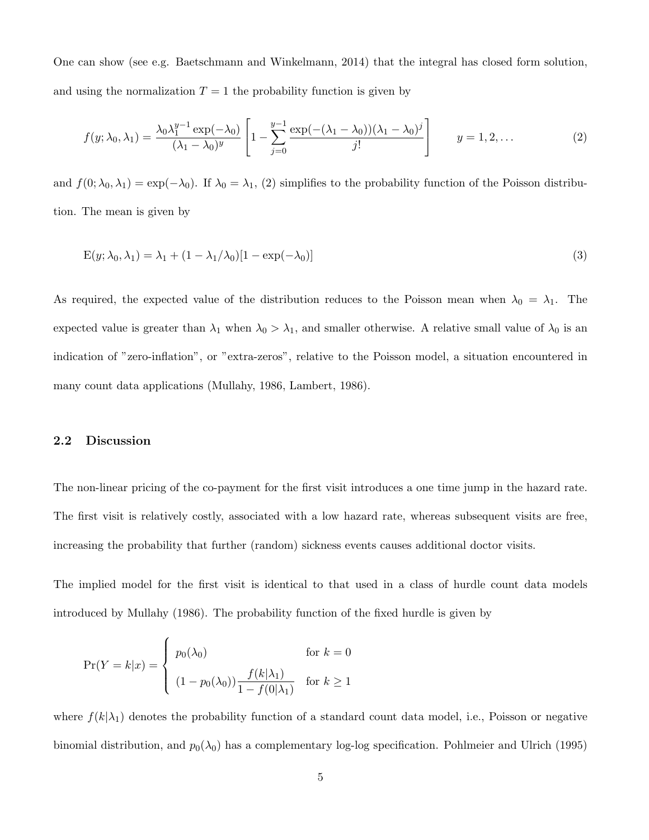One can show (see e.g. Baetschmann and Winkelmann, 2014) that the integral has closed form solution, and using the normalization  $T = 1$  the probability function is given by

$$
f(y; \lambda_0, \lambda_1) = \frac{\lambda_0 \lambda_1^{y-1} \exp(-\lambda_0)}{(\lambda_1 - \lambda_0)^y} \left[ 1 - \sum_{j=0}^{y-1} \frac{\exp(-( \lambda_1 - \lambda_0)) (\lambda_1 - \lambda_0)^j}{j!} \right] \qquad y = 1, 2, \dots
$$
 (2)

and  $f(0; \lambda_0, \lambda_1) = \exp(-\lambda_0)$ . If  $\lambda_0 = \lambda_1$ , (2) simplifies to the probability function of the Poisson distribution. The mean is given by

$$
E(y; \lambda_0, \lambda_1) = \lambda_1 + (1 - \lambda_1/\lambda_0)[1 - \exp(-\lambda_0)]
$$
\n
$$
(3)
$$

As required, the expected value of the distribution reduces to the Poisson mean when  $\lambda_0 = \lambda_1$ . The expected value is greater than  $\lambda_1$  when  $\lambda_0 > \lambda_1$ , and smaller otherwise. A relative small value of  $\lambda_0$  is an indication of "zero-inflation", or "extra-zeros", relative to the Poisson model, a situation encountered in many count data applications (Mullahy, 1986, Lambert, 1986).

#### 2.2 Discussion

The non-linear pricing of the co-payment for the first visit introduces a one time jump in the hazard rate. The first visit is relatively costly, associated with a low hazard rate, whereas subsequent visits are free, increasing the probability that further (random) sickness events causes additional doctor visits.

The implied model for the first visit is identical to that used in a class of hurdle count data models introduced by Mullahy (1986). The probability function of the fixed hurdle is given by

$$
\Pr(Y = k|x) = \begin{cases} p_0(\lambda_0) & \text{for } k = 0\\ (1 - p_0(\lambda_0)) \frac{f(k|\lambda_1)}{1 - f(0|\lambda_1)} & \text{for } k \ge 1 \end{cases}
$$

where  $f(k|\lambda_1)$  denotes the probability function of a standard count data model, i.e., Poisson or negative binomial distribution, and  $p_0(\lambda_0)$  has a complementary log-log specification. Pohlmeier and Ulrich (1995)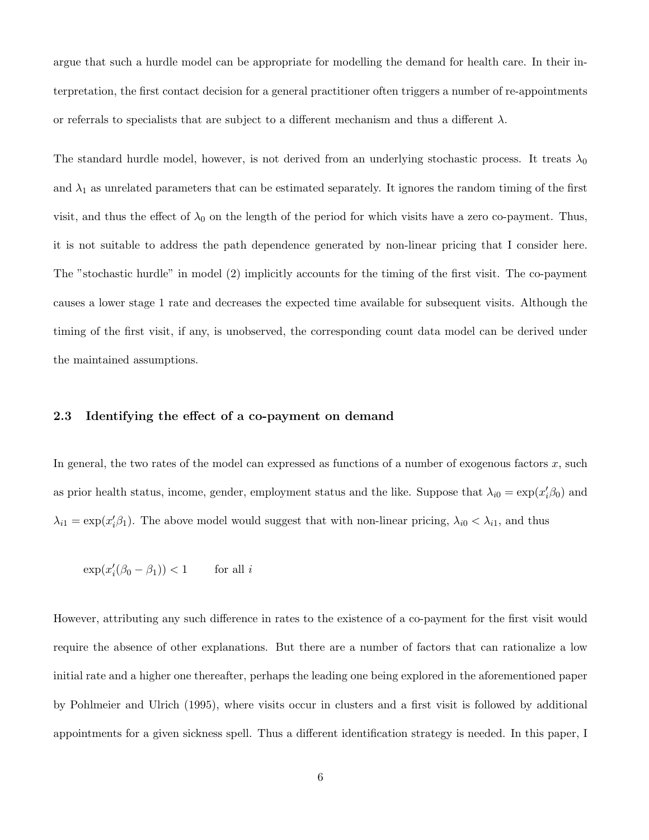argue that such a hurdle model can be appropriate for modelling the demand for health care. In their interpretation, the first contact decision for a general practitioner often triggers a number of re-appointments or referrals to specialists that are subject to a different mechanism and thus a different  $\lambda$ .

The standard hurdle model, however, is not derived from an underlying stochastic process. It treats  $\lambda_0$ and  $\lambda_1$  as unrelated parameters that can be estimated separately. It ignores the random timing of the first visit, and thus the effect of  $\lambda_0$  on the length of the period for which visits have a zero co-payment. Thus, it is not suitable to address the path dependence generated by non-linear pricing that I consider here. The "stochastic hurdle" in model (2) implicitly accounts for the timing of the first visit. The co-payment causes a lower stage 1 rate and decreases the expected time available for subsequent visits. Although the timing of the first visit, if any, is unobserved, the corresponding count data model can be derived under the maintained assumptions.

#### 2.3 Identifying the effect of a co-payment on demand

In general, the two rates of the model can expressed as functions of a number of exogenous factors  $x$ , such as prior health status, income, gender, employment status and the like. Suppose that  $\lambda_{i0} = \exp(x_i' \beta_0)$  and  $\lambda_{i1} = \exp(x_i' \beta_1)$ . The above model would suggest that with non-linear pricing,  $\lambda_{i0} < \lambda_{i1}$ , and thus

$$
\exp(x_i'(\beta_0 - \beta_1)) < 1 \qquad \text{for all } i
$$

However, attributing any such difference in rates to the existence of a co-payment for the first visit would require the absence of other explanations. But there are a number of factors that can rationalize a low initial rate and a higher one thereafter, perhaps the leading one being explored in the aforementioned paper by Pohlmeier and Ulrich (1995), where visits occur in clusters and a first visit is followed by additional appointments for a given sickness spell. Thus a different identification strategy is needed. In this paper, I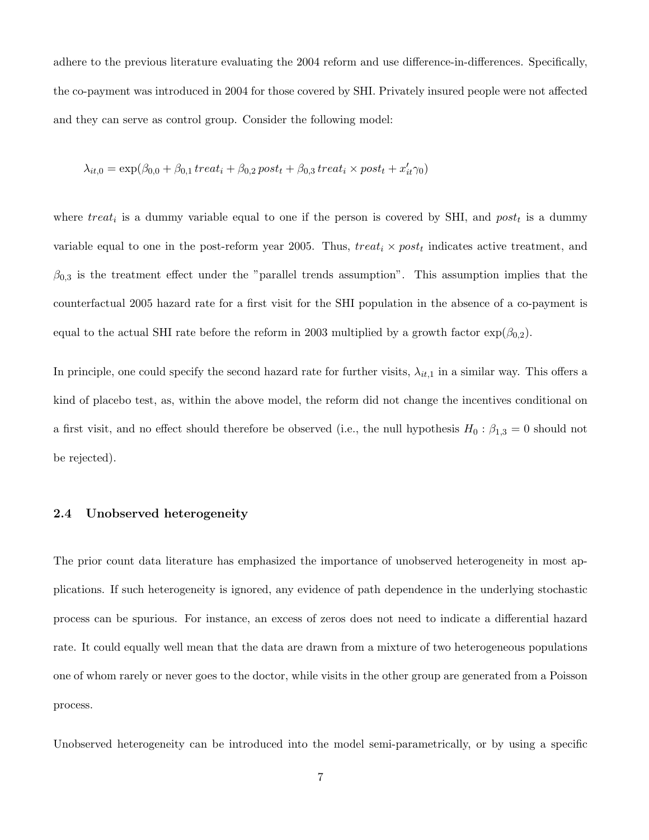adhere to the previous literature evaluating the 2004 reform and use difference-in-differences. Specifically, the co-payment was introduced in 2004 for those covered by SHI. Privately insured people were not affected and they can serve as control group. Consider the following model:

$$
\lambda_{it,0} = \exp(\beta_{0,0} + \beta_{0,1} treat_i + \beta_{0,2} post_t + \beta_{0,3} treat_i \times post_t + x'_{it} \gamma_0)
$$

where  $treat_i$  is a dummy variable equal to one if the person is covered by SHI, and  $post_t$  is a dummy variable equal to one in the post-reform year 2005. Thus,  $treat_i \times post_t$  indicates active treatment, and  $\beta_{0,3}$  is the treatment effect under the "parallel trends assumption". This assumption implies that the counterfactual 2005 hazard rate for a first visit for the SHI population in the absence of a co-payment is equal to the actual SHI rate before the reform in 2003 multiplied by a growth factor  $\exp(\beta_{0,2})$ .

In principle, one could specify the second hazard rate for further visits,  $\lambda_{it,1}$  in a similar way. This offers a kind of placebo test, as, within the above model, the reform did not change the incentives conditional on a first visit, and no effect should therefore be observed (i.e., the null hypothesis  $H_0: \beta_{1,3} = 0$  should not be rejected).

#### 2.4 Unobserved heterogeneity

The prior count data literature has emphasized the importance of unobserved heterogeneity in most applications. If such heterogeneity is ignored, any evidence of path dependence in the underlying stochastic process can be spurious. For instance, an excess of zeros does not need to indicate a differential hazard rate. It could equally well mean that the data are drawn from a mixture of two heterogeneous populations one of whom rarely or never goes to the doctor, while visits in the other group are generated from a Poisson process.

Unobserved heterogeneity can be introduced into the model semi-parametrically, or by using a specific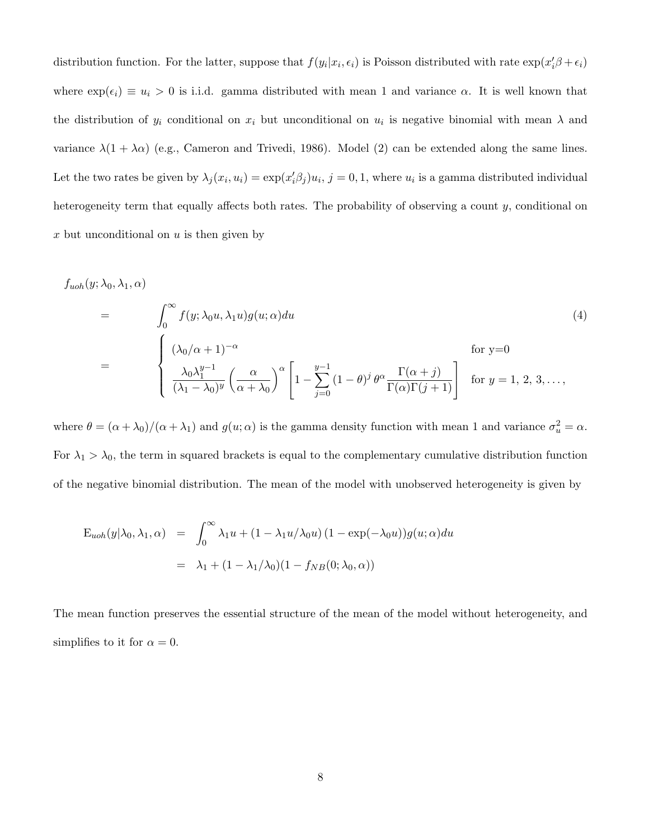distribution function. For the latter, suppose that  $f(y_i|x_i, \epsilon_i)$  is Poisson distributed with rate  $\exp(x_i'\beta + \epsilon_i)$ where  $\exp(\epsilon_i) \equiv u_i > 0$  is i.i.d. gamma distributed with mean 1 and variance  $\alpha$ . It is well known that the distribution of  $y_i$  conditional on  $x_i$  but unconditional on  $u_i$  is negative binomial with mean  $\lambda$  and variance  $\lambda(1 + \lambda\alpha)$  (e.g., Cameron and Trivedi, 1986). Model (2) can be extended along the same lines. Let the two rates be given by  $\lambda_j(x_i, u_i) = \exp(x_i' \beta_j) u_i, j = 0, 1$ , where  $u_i$  is a gamma distributed individual heterogeneity term that equally affects both rates. The probability of observing a count y, conditional on x but unconditional on  $u$  is then given by

$$
f_{uoh}(y; \lambda_0, \lambda_1, \alpha)
$$
\n
$$
= \int_0^\infty f(y; \lambda_0 u, \lambda_1 u) g(u; \alpha) du
$$
\n
$$
= \begin{cases}\n(\lambda_0/\alpha + 1)^{-\alpha} & \text{for } y=0 \\
\frac{\lambda_0 \lambda_1^{y-1}}{(\lambda_1 - \lambda_0)^y} \left(\frac{\alpha}{\alpha + \lambda_0}\right)^\alpha \left[1 - \sum_{j=0}^{y-1} (1 - \theta)^j \theta^\alpha \frac{\Gamma(\alpha + j)}{\Gamma(\alpha) \Gamma(j+1)}\right] & \text{for } y=1, 2, 3, \dots,\n\end{cases}
$$
\n(4)

where  $\theta = (\alpha + \lambda_0)/(\alpha + \lambda_1)$  and  $g(u; \alpha)$  is the gamma density function with mean 1 and variance  $\sigma_u^2 = \alpha$ . For  $\lambda_1 > \lambda_0$ , the term in squared brackets is equal to the complementary cumulative distribution function of the negative binomial distribution. The mean of the model with unobserved heterogeneity is given by

$$
E_{uoh}(y|\lambda_0, \lambda_1, \alpha) = \int_0^\infty \lambda_1 u + (1 - \lambda_1 u/\lambda_0 u) (1 - \exp(-\lambda_0 u)) g(u; \alpha) du
$$
  
=  $\lambda_1 + (1 - \lambda_1/\lambda_0)(1 - f_{NB}(0; \lambda_0, \alpha))$ 

The mean function preserves the essential structure of the mean of the model without heterogeneity, and simplifies to it for  $\alpha = 0$ .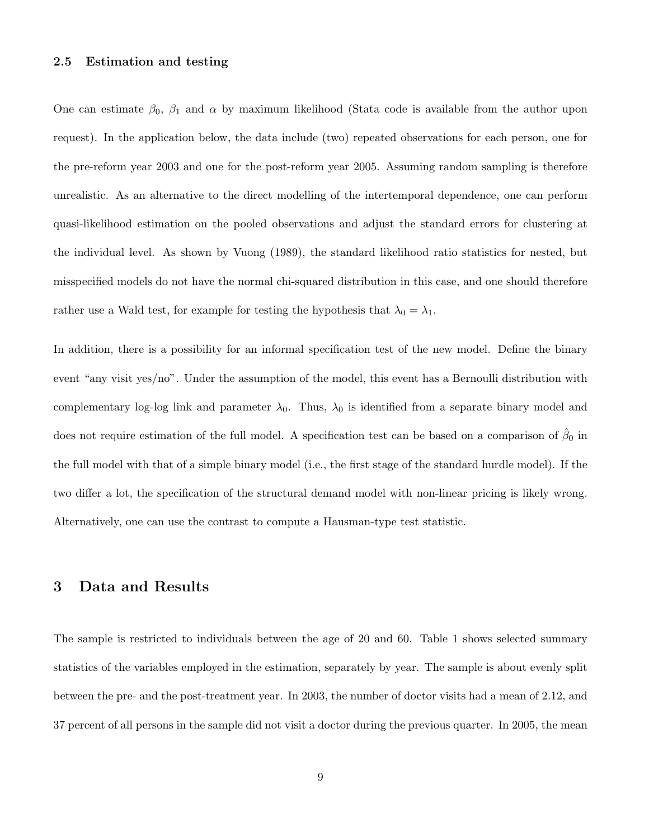#### 2.5 Estimation and testing

One can estimate  $\beta_0$ ,  $\beta_1$  and  $\alpha$  by maximum likelihood (Stata code is available from the author upon request). In the application below, the data include (two) repeated observations for each person, one for the pre-reform year 2003 and one for the post-reform year 2005. Assuming random sampling is therefore unrealistic. As an alternative to the direct modelling of the intertemporal dependence, one can perform quasi-likelihood estimation on the pooled observations and adjust the standard errors for clustering at the individual level. As shown by Vuong (1989), the standard likelihood ratio statistics for nested, but misspecified models do not have the normal chi-squared distribution in this case, and one should therefore rather use a Wald test, for example for testing the hypothesis that  $\lambda_0 = \lambda_1$ .

In addition, there is a possibility for an informal specification test of the new model. Define the binary event "any visit yes/no". Under the assumption of the model, this event has a Bernoulli distribution with complementary log-log link and parameter  $\lambda_0$ . Thus,  $\lambda_0$  is identified from a separate binary model and does not require estimation of the full model. A specification test can be based on a comparison of  $\hat{\beta}_0$  in the full model with that of a simple binary model (i.e., the first stage of the standard hurdle model). If the two differ a lot, the specification of the structural demand model with non-linear pricing is likely wrong. Alternatively, one can use the contrast to compute a Hausman-type test statistic.

### 3 Data and Results

The sample is restricted to individuals between the age of 20 and 60. Table 1 shows selected summary statistics of the variables employed in the estimation, separately by year. The sample is about evenly split between the pre- and the post-treatment year. In 2003, the number of doctor visits had a mean of 2.12, and 37 percent of all persons in the sample did not visit a doctor during the previous quarter. In 2005, the mean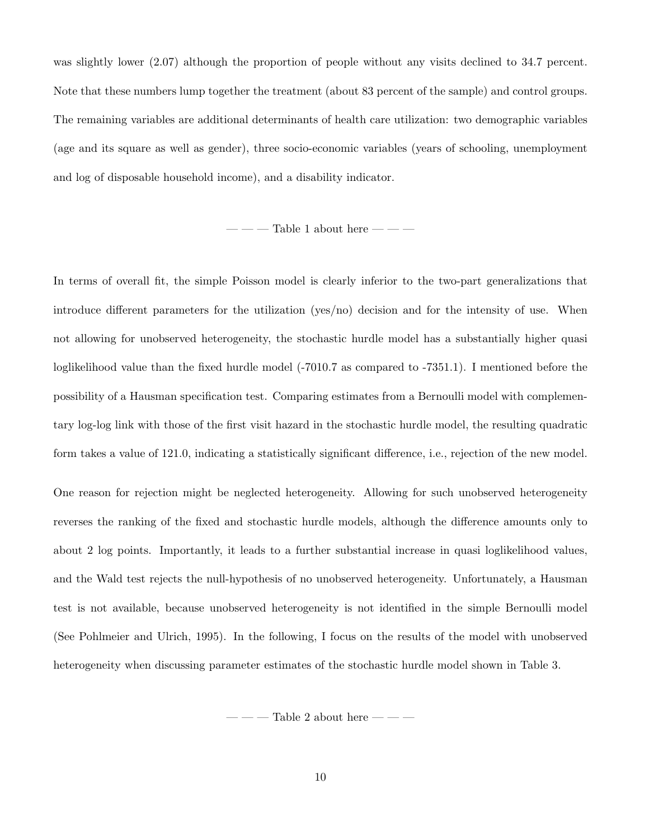was slightly lower  $(2.07)$  although the proportion of people without any visits declined to 34.7 percent. Note that these numbers lump together the treatment (about 83 percent of the sample) and control groups. The remaining variables are additional determinants of health care utilization: two demographic variables (age and its square as well as gender), three socio-economic variables (years of schooling, unemployment and log of disposable household income), and a disability indicator.

 $---$  Table 1 about here  $---$ 

In terms of overall fit, the simple Poisson model is clearly inferior to the two-part generalizations that introduce different parameters for the utilization (yes/no) decision and for the intensity of use. When not allowing for unobserved heterogeneity, the stochastic hurdle model has a substantially higher quasi loglikelihood value than the fixed hurdle model (-7010.7 as compared to -7351.1). I mentioned before the possibility of a Hausman specification test. Comparing estimates from a Bernoulli model with complementary log-log link with those of the first visit hazard in the stochastic hurdle model, the resulting quadratic form takes a value of 121.0, indicating a statistically significant difference, i.e., rejection of the new model.

One reason for rejection might be neglected heterogeneity. Allowing for such unobserved heterogeneity reverses the ranking of the fixed and stochastic hurdle models, although the difference amounts only to about 2 log points. Importantly, it leads to a further substantial increase in quasi loglikelihood values, and the Wald test rejects the null-hypothesis of no unobserved heterogeneity. Unfortunately, a Hausman test is not available, because unobserved heterogeneity is not identified in the simple Bernoulli model (See Pohlmeier and Ulrich, 1995). In the following, I focus on the results of the model with unobserved heterogeneity when discussing parameter estimates of the stochastic hurdle model shown in Table 3.

— — — Table 2 about here — — —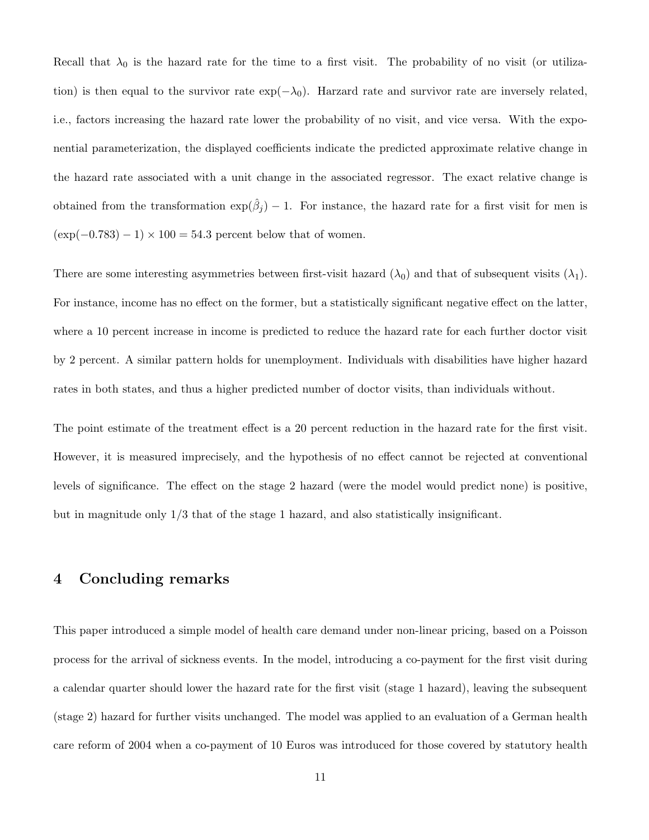Recall that  $\lambda_0$  is the hazard rate for the time to a first visit. The probability of no visit (or utilization) is then equal to the survivor rate  $\exp(-\lambda_0)$ . Harzard rate and survivor rate are inversely related, i.e., factors increasing the hazard rate lower the probability of no visit, and vice versa. With the exponential parameterization, the displayed coefficients indicate the predicted approximate relative change in the hazard rate associated with a unit change in the associated regressor. The exact relative change is obtained from the transformation  $\exp(\hat{\beta}_j) - 1$ . For instance, the hazard rate for a first visit for men is  $(\exp(-0.783) - 1) \times 100 = 54.3$  percent below that of women.

There are some interesting asymmetries between first-visit hazard  $(\lambda_0)$  and that of subsequent visits  $(\lambda_1)$ . For instance, income has no effect on the former, but a statistically significant negative effect on the latter, where a 10 percent increase in income is predicted to reduce the hazard rate for each further doctor visit by 2 percent. A similar pattern holds for unemployment. Individuals with disabilities have higher hazard rates in both states, and thus a higher predicted number of doctor visits, than individuals without.

The point estimate of the treatment effect is a 20 percent reduction in the hazard rate for the first visit. However, it is measured imprecisely, and the hypothesis of no effect cannot be rejected at conventional levels of significance. The effect on the stage 2 hazard (were the model would predict none) is positive, but in magnitude only 1/3 that of the stage 1 hazard, and also statistically insignificant.

## 4 Concluding remarks

This paper introduced a simple model of health care demand under non-linear pricing, based on a Poisson process for the arrival of sickness events. In the model, introducing a co-payment for the first visit during a calendar quarter should lower the hazard rate for the first visit (stage 1 hazard), leaving the subsequent (stage 2) hazard for further visits unchanged. The model was applied to an evaluation of a German health care reform of 2004 when a co-payment of 10 Euros was introduced for those covered by statutory health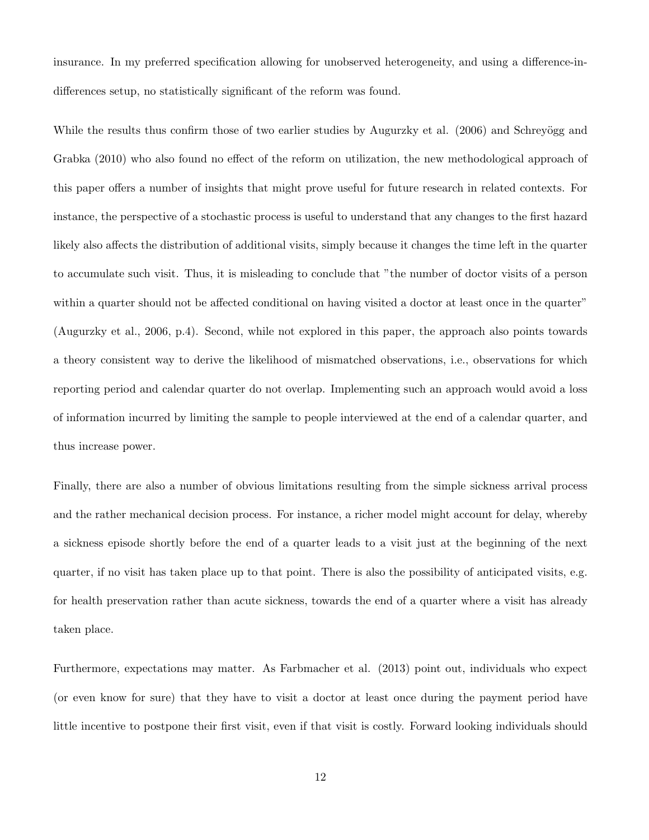insurance. In my preferred specification allowing for unobserved heterogeneity, and using a difference-indifferences setup, no statistically significant of the reform was found.

While the results thus confirm those of two earlier studies by Augurzky et al. (2006) and Schreyögg and Grabka (2010) who also found no effect of the reform on utilization, the new methodological approach of this paper offers a number of insights that might prove useful for future research in related contexts. For instance, the perspective of a stochastic process is useful to understand that any changes to the first hazard likely also affects the distribution of additional visits, simply because it changes the time left in the quarter to accumulate such visit. Thus, it is misleading to conclude that "the number of doctor visits of a person within a quarter should not be affected conditional on having visited a doctor at least once in the quarter" (Augurzky et al., 2006, p.4). Second, while not explored in this paper, the approach also points towards a theory consistent way to derive the likelihood of mismatched observations, i.e., observations for which reporting period and calendar quarter do not overlap. Implementing such an approach would avoid a loss of information incurred by limiting the sample to people interviewed at the end of a calendar quarter, and thus increase power.

Finally, there are also a number of obvious limitations resulting from the simple sickness arrival process and the rather mechanical decision process. For instance, a richer model might account for delay, whereby a sickness episode shortly before the end of a quarter leads to a visit just at the beginning of the next quarter, if no visit has taken place up to that point. There is also the possibility of anticipated visits, e.g. for health preservation rather than acute sickness, towards the end of a quarter where a visit has already taken place.

Furthermore, expectations may matter. As Farbmacher et al. (2013) point out, individuals who expect (or even know for sure) that they have to visit a doctor at least once during the payment period have little incentive to postpone their first visit, even if that visit is costly. Forward looking individuals should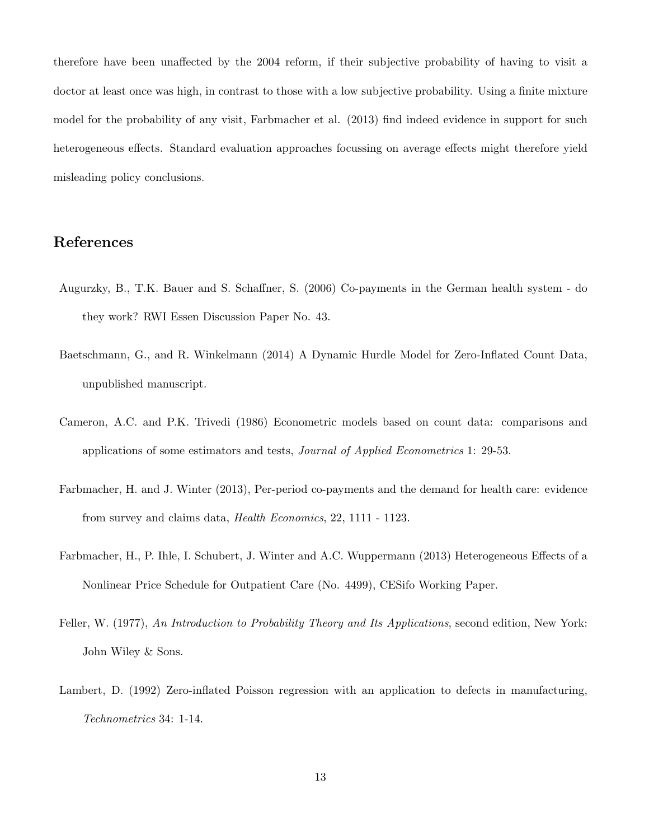therefore have been unaffected by the 2004 reform, if their subjective probability of having to visit a doctor at least once was high, in contrast to those with a low subjective probability. Using a finite mixture model for the probability of any visit, Farbmacher et al. (2013) find indeed evidence in support for such heterogeneous effects. Standard evaluation approaches focussing on average effects might therefore yield misleading policy conclusions.

# References

- Augurzky, B., T.K. Bauer and S. Schaffner, S. (2006) Co-payments in the German health system do they work? RWI Essen Discussion Paper No. 43.
- Baetschmann, G., and R. Winkelmann (2014) A Dynamic Hurdle Model for Zero-Inflated Count Data, unpublished manuscript.
- Cameron, A.C. and P.K. Trivedi (1986) Econometric models based on count data: comparisons and applications of some estimators and tests, Journal of Applied Econometrics 1: 29-53.
- Farbmacher, H. and J. Winter (2013), Per-period co-payments and the demand for health care: evidence from survey and claims data, Health Economics, 22, 1111 - 1123.
- Farbmacher, H., P. Ihle, I. Schubert, J. Winter and A.C. Wuppermann (2013) Heterogeneous Effects of a Nonlinear Price Schedule for Outpatient Care (No. 4499), CESifo Working Paper.
- Feller, W. (1977), An Introduction to Probability Theory and Its Applications, second edition, New York: John Wiley & Sons.
- Lambert, D. (1992) Zero-inflated Poisson regression with an application to defects in manufacturing, Technometrics 34: 1-14.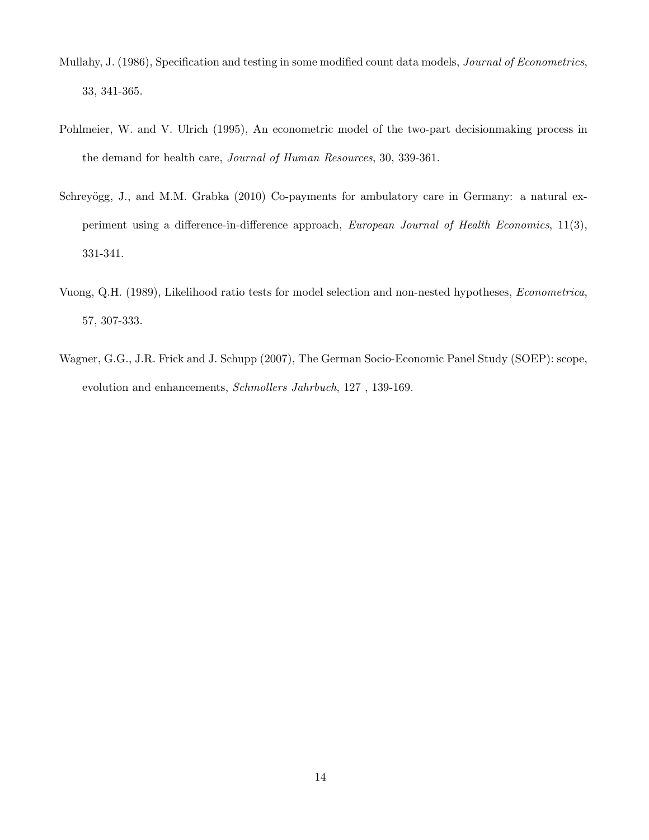- Mullahy, J. (1986), Specification and testing in some modified count data models, Journal of Econometrics, 33, 341-365.
- Pohlmeier, W. and V. Ulrich (1995), An econometric model of the two-part decisionmaking process in the demand for health care, Journal of Human Resources, 30, 339-361.
- Schreyögg, J., and M.M. Grabka (2010) Co-payments for ambulatory care in Germany: a natural experiment using a difference-in-difference approach, European Journal of Health Economics, 11(3), 331-341.
- Vuong, Q.H. (1989), Likelihood ratio tests for model selection and non-nested hypotheses, Econometrica, 57, 307-333.
- Wagner, G.G., J.R. Frick and J. Schupp (2007), The German Socio-Economic Panel Study (SOEP): scope, evolution and enhancements, Schmollers Jahrbuch, 127 , 139-169.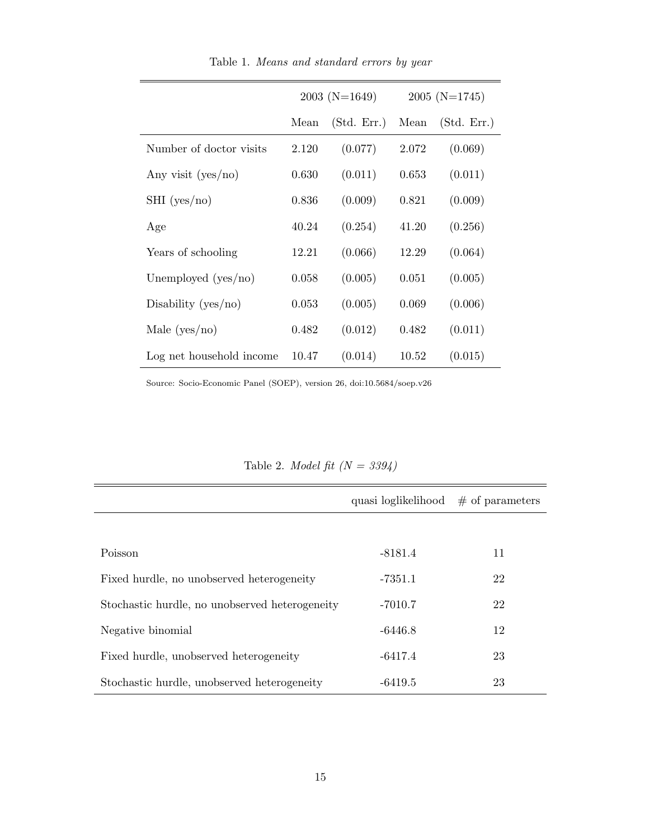|                          |       | $2003$ (N=1649) | $2005$ (N=1745) |             |
|--------------------------|-------|-----------------|-----------------|-------------|
|                          | Mean  | (Std. Err.)     | Mean            | (Std. Err.) |
| Number of doctor visits  | 2.120 | (0.077)         | 2.072           | (0.069)     |
| Any visit $(yes/no)$     | 0.630 | (0.011)         | 0.653           | (0.011)     |
| $SHI$ (yes/no)           | 0.836 | (0.009)         | 0.821           | (0.009)     |
| Age                      | 40.24 | (0.254)         | 41.20           | (0.256)     |
| Years of schooling       | 12.21 | (0.066)         | 12.29           | (0.064)     |
| Unemployed $(yes/no)$    | 0.058 | (0.005)         | 0.051           | (0.005)     |
| Disability ( $yes/no)$ ) | 0.053 | (0.005)         | 0.069           | (0.006)     |
| Male $(yes/no)$          | 0.482 | (0.012)         | 0.482           | (0.011)     |
| Log net household income | 10.47 | (0.014)         | 10.52           | (0.015)     |

Table 1. Means and standard errors by year

Source: Socio-Economic Panel (SOEP), version 26, doi:10.5684/soep.v26

|                                                | quasi loglikelihood | $\#$ of parameters |  |
|------------------------------------------------|---------------------|--------------------|--|
|                                                |                     |                    |  |
| Poisson                                        | $-8181.4$           | 11                 |  |
| Fixed hurdle, no unobserved heterogeneity      | $-7351.1$           | 22                 |  |
| Stochastic hurdle, no unobserved heterogeneity | $-7010.7$           | 22                 |  |
| Negative binomial                              | $-6446.8$           | 12                 |  |
| Fixed hurdle, unobserved heterogeneity         | $-6417.4$           | 23                 |  |
| Stochastic hurdle, unobserved heterogeneity    | $-6419.5$           | 23                 |  |

Table 2. Model fit  $(N = 3394)$